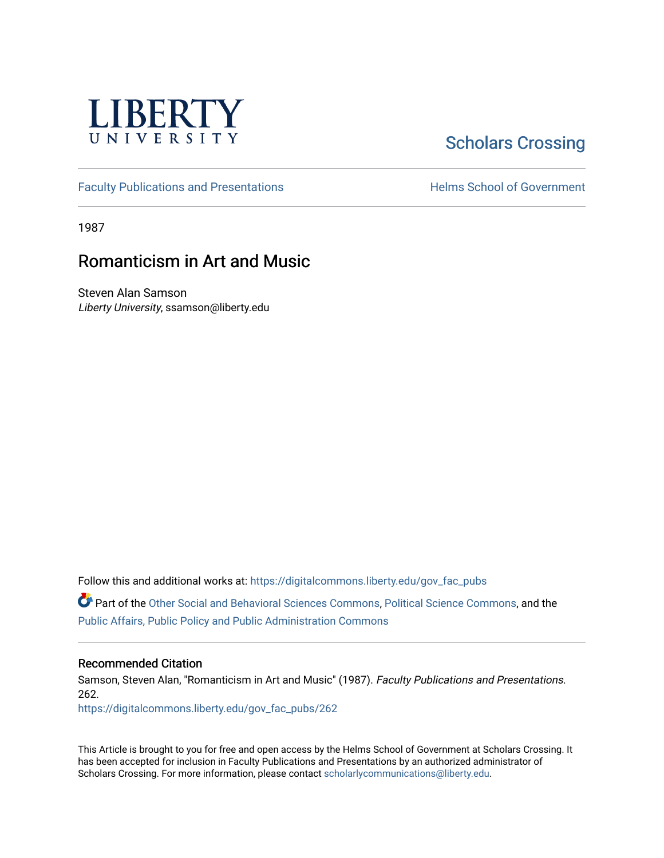

## [Scholars Crossing](https://digitalcommons.liberty.edu/)

[Faculty Publications and Presentations](https://digitalcommons.liberty.edu/gov_fac_pubs) **Exercise School of Government** 

1987

## Romanticism in Art and Music

Steven Alan Samson Liberty University, ssamson@liberty.edu

Follow this and additional works at: [https://digitalcommons.liberty.edu/gov\\_fac\\_pubs](https://digitalcommons.liberty.edu/gov_fac_pubs?utm_source=digitalcommons.liberty.edu%2Fgov_fac_pubs%2F262&utm_medium=PDF&utm_campaign=PDFCoverPages)

Part of the [Other Social and Behavioral Sciences Commons](http://network.bepress.com/hgg/discipline/437?utm_source=digitalcommons.liberty.edu%2Fgov_fac_pubs%2F262&utm_medium=PDF&utm_campaign=PDFCoverPages), [Political Science Commons](http://network.bepress.com/hgg/discipline/386?utm_source=digitalcommons.liberty.edu%2Fgov_fac_pubs%2F262&utm_medium=PDF&utm_campaign=PDFCoverPages), and the [Public Affairs, Public Policy and Public Administration Commons](http://network.bepress.com/hgg/discipline/393?utm_source=digitalcommons.liberty.edu%2Fgov_fac_pubs%2F262&utm_medium=PDF&utm_campaign=PDFCoverPages)

## Recommended Citation

Samson, Steven Alan, "Romanticism in Art and Music" (1987). Faculty Publications and Presentations. 262.

[https://digitalcommons.liberty.edu/gov\\_fac\\_pubs/262](https://digitalcommons.liberty.edu/gov_fac_pubs/262?utm_source=digitalcommons.liberty.edu%2Fgov_fac_pubs%2F262&utm_medium=PDF&utm_campaign=PDFCoverPages)

This Article is brought to you for free and open access by the Helms School of Government at Scholars Crossing. It has been accepted for inclusion in Faculty Publications and Presentations by an authorized administrator of Scholars Crossing. For more information, please contact [scholarlycommunications@liberty.edu.](mailto:scholarlycommunications@liberty.edu)